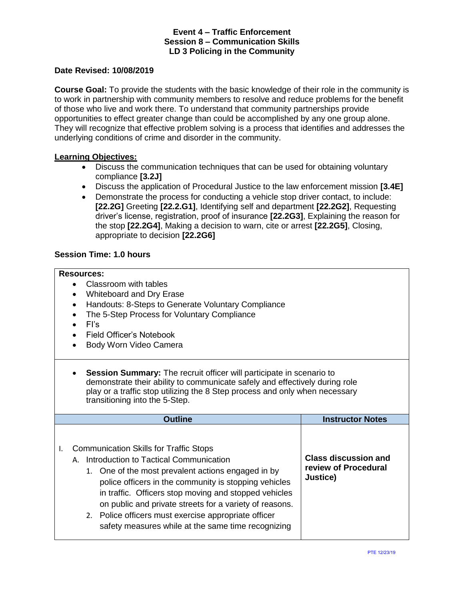#### **Date Revised: 10/08/2019**

**Course Goal:** To provide the students with the basic knowledge of their role in the community is to work in partnership with community members to resolve and reduce problems for the benefit of those who live and work there. To understand that community partnerships provide opportunities to effect greater change than could be accomplished by any one group alone. They will recognize that effective problem solving is a process that identifies and addresses the underlying conditions of crime and disorder in the community.

#### **Learning Objectives:**

- Discuss the communication techniques that can be used for obtaining voluntary compliance **[3.2J]**
- Discuss the application of Procedural Justice to the law enforcement mission **[3.4E]**
- Demonstrate the process for conducting a vehicle stop driver contact, to include: **[22.2G]** Greeting **[22.2.G1]**, Identifying self and department **[22.2G2]**, Requesting driver's license, registration, proof of insurance **[22.2G3]**, Explaining the reason for the stop **[22.2G4]**, Making a decision to warn, cite or arrest **[22.2G5]**, Closing, appropriate to decision **[22.2G6]**

#### **Session Time: 1.0 hours**

#### **Resources:**

- Classroom with tables
- Whiteboard and Dry Erase
- Handouts: 8-Steps to Generate Voluntary Compliance
- The 5-Step Process for Voluntary Compliance
- FI's
- Field Officer's Notebook
- Body Worn Video Camera
- **Session Summary:** The recruit officer will participate in scenario to demonstrate their ability to communicate safely and effectively during role play or a traffic stop utilizing the 8 Step process and only when necessary transitioning into the 5-Step.

| <b>Outline</b>                                                                                                                                                                                                                                                                                                                                                                                                                                 | <b>Instructor Notes</b>                                         |
|------------------------------------------------------------------------------------------------------------------------------------------------------------------------------------------------------------------------------------------------------------------------------------------------------------------------------------------------------------------------------------------------------------------------------------------------|-----------------------------------------------------------------|
| <b>Communication Skills for Traffic Stops</b><br>Introduction to Tactical Communication<br>А.<br>1. One of the most prevalent actions engaged in by<br>police officers in the community is stopping vehicles<br>in traffic. Officers stop moving and stopped vehicles<br>on public and private streets for a variety of reasons.<br>2. Police officers must exercise appropriate officer<br>safety measures while at the same time recognizing | <b>Class discussion and</b><br>review of Procedural<br>Justice) |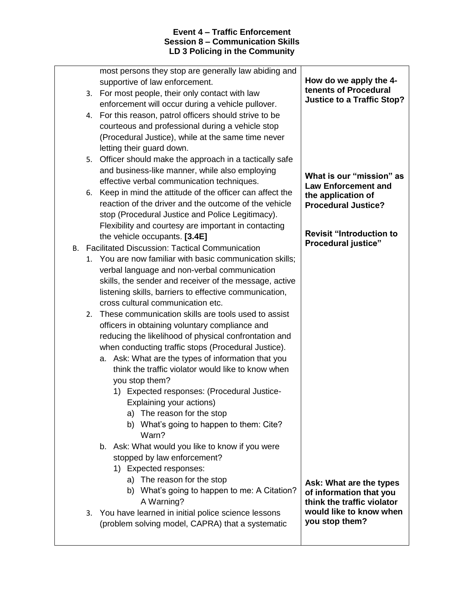| B. | 2. | reaction of the driver and the outcome of the vehicle<br>stop (Procedural Justice and Police Legitimacy).<br>Flexibility and courtesy are important in contacting<br>the vehicle occupants. [3.4E]<br><b>Facilitated Discussion: Tactical Communication</b><br>1. You are now familiar with basic communication skills;<br>verbal language and non-verbal communication<br>skills, the sender and receiver of the message, active<br>listening skills, barriers to effective communication,<br>cross cultural communication etc.<br>These communication skills are tools used to assist<br>officers in obtaining voluntary compliance and<br>reducing the likelihood of physical confrontation and<br>when conducting traffic stops (Procedural Justice).<br>a. Ask: What are the types of information that you<br>think the traffic violator would like to know when<br>you stop them?<br>Expected responses: (Procedural Justice-<br>1)<br>Explaining your actions)<br>a) The reason for the stop | <b>Procedural Justice?</b><br><b>Revisit "Introduction to</b><br><b>Procedural justice"</b>                                   |
|----|----|-----------------------------------------------------------------------------------------------------------------------------------------------------------------------------------------------------------------------------------------------------------------------------------------------------------------------------------------------------------------------------------------------------------------------------------------------------------------------------------------------------------------------------------------------------------------------------------------------------------------------------------------------------------------------------------------------------------------------------------------------------------------------------------------------------------------------------------------------------------------------------------------------------------------------------------------------------------------------------------------------------|-------------------------------------------------------------------------------------------------------------------------------|
|    | 3. | b) What's going to happen to them: Cite?<br>Warn?<br>b. Ask: What would you like to know if you were<br>stopped by law enforcement?<br>1) Expected responses:<br>a) The reason for the stop<br>b) What's going to happen to me: A Citation?<br>A Warning?<br>You have learned in initial police science lessons<br>(problem solving model, CAPRA) that a systematic                                                                                                                                                                                                                                                                                                                                                                                                                                                                                                                                                                                                                                 | Ask: What are the types<br>of information that you<br>think the traffic violator<br>would like to know when<br>you stop them? |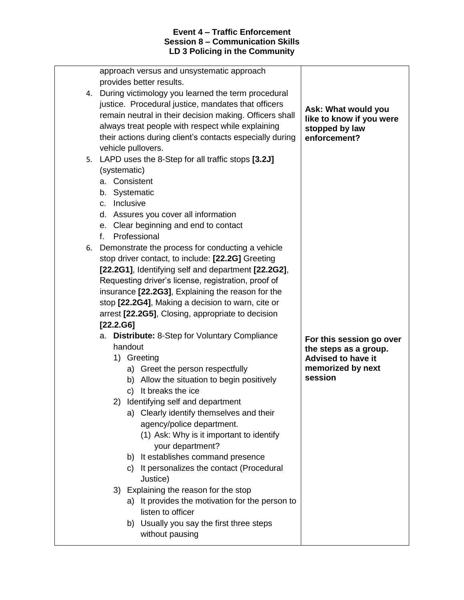| Ask: What would you                                                                                                                                                                                                                                                                                                                                                                                                                                                                                                                                                                                                                                                                                                                                                                                                                                                                                                                                                                                                                                                                                                                                                                                                                                                                                                                                                                                        |
|------------------------------------------------------------------------------------------------------------------------------------------------------------------------------------------------------------------------------------------------------------------------------------------------------------------------------------------------------------------------------------------------------------------------------------------------------------------------------------------------------------------------------------------------------------------------------------------------------------------------------------------------------------------------------------------------------------------------------------------------------------------------------------------------------------------------------------------------------------------------------------------------------------------------------------------------------------------------------------------------------------------------------------------------------------------------------------------------------------------------------------------------------------------------------------------------------------------------------------------------------------------------------------------------------------------------------------------------------------------------------------------------------------|
| like to know if you were                                                                                                                                                                                                                                                                                                                                                                                                                                                                                                                                                                                                                                                                                                                                                                                                                                                                                                                                                                                                                                                                                                                                                                                                                                                                                                                                                                                   |
| stopped by law                                                                                                                                                                                                                                                                                                                                                                                                                                                                                                                                                                                                                                                                                                                                                                                                                                                                                                                                                                                                                                                                                                                                                                                                                                                                                                                                                                                             |
| enforcement?                                                                                                                                                                                                                                                                                                                                                                                                                                                                                                                                                                                                                                                                                                                                                                                                                                                                                                                                                                                                                                                                                                                                                                                                                                                                                                                                                                                               |
|                                                                                                                                                                                                                                                                                                                                                                                                                                                                                                                                                                                                                                                                                                                                                                                                                                                                                                                                                                                                                                                                                                                                                                                                                                                                                                                                                                                                            |
|                                                                                                                                                                                                                                                                                                                                                                                                                                                                                                                                                                                                                                                                                                                                                                                                                                                                                                                                                                                                                                                                                                                                                                                                                                                                                                                                                                                                            |
|                                                                                                                                                                                                                                                                                                                                                                                                                                                                                                                                                                                                                                                                                                                                                                                                                                                                                                                                                                                                                                                                                                                                                                                                                                                                                                                                                                                                            |
|                                                                                                                                                                                                                                                                                                                                                                                                                                                                                                                                                                                                                                                                                                                                                                                                                                                                                                                                                                                                                                                                                                                                                                                                                                                                                                                                                                                                            |
|                                                                                                                                                                                                                                                                                                                                                                                                                                                                                                                                                                                                                                                                                                                                                                                                                                                                                                                                                                                                                                                                                                                                                                                                                                                                                                                                                                                                            |
|                                                                                                                                                                                                                                                                                                                                                                                                                                                                                                                                                                                                                                                                                                                                                                                                                                                                                                                                                                                                                                                                                                                                                                                                                                                                                                                                                                                                            |
|                                                                                                                                                                                                                                                                                                                                                                                                                                                                                                                                                                                                                                                                                                                                                                                                                                                                                                                                                                                                                                                                                                                                                                                                                                                                                                                                                                                                            |
|                                                                                                                                                                                                                                                                                                                                                                                                                                                                                                                                                                                                                                                                                                                                                                                                                                                                                                                                                                                                                                                                                                                                                                                                                                                                                                                                                                                                            |
|                                                                                                                                                                                                                                                                                                                                                                                                                                                                                                                                                                                                                                                                                                                                                                                                                                                                                                                                                                                                                                                                                                                                                                                                                                                                                                                                                                                                            |
|                                                                                                                                                                                                                                                                                                                                                                                                                                                                                                                                                                                                                                                                                                                                                                                                                                                                                                                                                                                                                                                                                                                                                                                                                                                                                                                                                                                                            |
|                                                                                                                                                                                                                                                                                                                                                                                                                                                                                                                                                                                                                                                                                                                                                                                                                                                                                                                                                                                                                                                                                                                                                                                                                                                                                                                                                                                                            |
|                                                                                                                                                                                                                                                                                                                                                                                                                                                                                                                                                                                                                                                                                                                                                                                                                                                                                                                                                                                                                                                                                                                                                                                                                                                                                                                                                                                                            |
|                                                                                                                                                                                                                                                                                                                                                                                                                                                                                                                                                                                                                                                                                                                                                                                                                                                                                                                                                                                                                                                                                                                                                                                                                                                                                                                                                                                                            |
|                                                                                                                                                                                                                                                                                                                                                                                                                                                                                                                                                                                                                                                                                                                                                                                                                                                                                                                                                                                                                                                                                                                                                                                                                                                                                                                                                                                                            |
|                                                                                                                                                                                                                                                                                                                                                                                                                                                                                                                                                                                                                                                                                                                                                                                                                                                                                                                                                                                                                                                                                                                                                                                                                                                                                                                                                                                                            |
|                                                                                                                                                                                                                                                                                                                                                                                                                                                                                                                                                                                                                                                                                                                                                                                                                                                                                                                                                                                                                                                                                                                                                                                                                                                                                                                                                                                                            |
|                                                                                                                                                                                                                                                                                                                                                                                                                                                                                                                                                                                                                                                                                                                                                                                                                                                                                                                                                                                                                                                                                                                                                                                                                                                                                                                                                                                                            |
| For this session go over                                                                                                                                                                                                                                                                                                                                                                                                                                                                                                                                                                                                                                                                                                                                                                                                                                                                                                                                                                                                                                                                                                                                                                                                                                                                                                                                                                                   |
| the steps as a group.                                                                                                                                                                                                                                                                                                                                                                                                                                                                                                                                                                                                                                                                                                                                                                                                                                                                                                                                                                                                                                                                                                                                                                                                                                                                                                                                                                                      |
| <b>Advised to have it</b>                                                                                                                                                                                                                                                                                                                                                                                                                                                                                                                                                                                                                                                                                                                                                                                                                                                                                                                                                                                                                                                                                                                                                                                                                                                                                                                                                                                  |
| memorized by next                                                                                                                                                                                                                                                                                                                                                                                                                                                                                                                                                                                                                                                                                                                                                                                                                                                                                                                                                                                                                                                                                                                                                                                                                                                                                                                                                                                          |
| session                                                                                                                                                                                                                                                                                                                                                                                                                                                                                                                                                                                                                                                                                                                                                                                                                                                                                                                                                                                                                                                                                                                                                                                                                                                                                                                                                                                                    |
|                                                                                                                                                                                                                                                                                                                                                                                                                                                                                                                                                                                                                                                                                                                                                                                                                                                                                                                                                                                                                                                                                                                                                                                                                                                                                                                                                                                                            |
|                                                                                                                                                                                                                                                                                                                                                                                                                                                                                                                                                                                                                                                                                                                                                                                                                                                                                                                                                                                                                                                                                                                                                                                                                                                                                                                                                                                                            |
|                                                                                                                                                                                                                                                                                                                                                                                                                                                                                                                                                                                                                                                                                                                                                                                                                                                                                                                                                                                                                                                                                                                                                                                                                                                                                                                                                                                                            |
|                                                                                                                                                                                                                                                                                                                                                                                                                                                                                                                                                                                                                                                                                                                                                                                                                                                                                                                                                                                                                                                                                                                                                                                                                                                                                                                                                                                                            |
|                                                                                                                                                                                                                                                                                                                                                                                                                                                                                                                                                                                                                                                                                                                                                                                                                                                                                                                                                                                                                                                                                                                                                                                                                                                                                                                                                                                                            |
|                                                                                                                                                                                                                                                                                                                                                                                                                                                                                                                                                                                                                                                                                                                                                                                                                                                                                                                                                                                                                                                                                                                                                                                                                                                                                                                                                                                                            |
|                                                                                                                                                                                                                                                                                                                                                                                                                                                                                                                                                                                                                                                                                                                                                                                                                                                                                                                                                                                                                                                                                                                                                                                                                                                                                                                                                                                                            |
|                                                                                                                                                                                                                                                                                                                                                                                                                                                                                                                                                                                                                                                                                                                                                                                                                                                                                                                                                                                                                                                                                                                                                                                                                                                                                                                                                                                                            |
|                                                                                                                                                                                                                                                                                                                                                                                                                                                                                                                                                                                                                                                                                                                                                                                                                                                                                                                                                                                                                                                                                                                                                                                                                                                                                                                                                                                                            |
|                                                                                                                                                                                                                                                                                                                                                                                                                                                                                                                                                                                                                                                                                                                                                                                                                                                                                                                                                                                                                                                                                                                                                                                                                                                                                                                                                                                                            |
|                                                                                                                                                                                                                                                                                                                                                                                                                                                                                                                                                                                                                                                                                                                                                                                                                                                                                                                                                                                                                                                                                                                                                                                                                                                                                                                                                                                                            |
|                                                                                                                                                                                                                                                                                                                                                                                                                                                                                                                                                                                                                                                                                                                                                                                                                                                                                                                                                                                                                                                                                                                                                                                                                                                                                                                                                                                                            |
|                                                                                                                                                                                                                                                                                                                                                                                                                                                                                                                                                                                                                                                                                                                                                                                                                                                                                                                                                                                                                                                                                                                                                                                                                                                                                                                                                                                                            |
|                                                                                                                                                                                                                                                                                                                                                                                                                                                                                                                                                                                                                                                                                                                                                                                                                                                                                                                                                                                                                                                                                                                                                                                                                                                                                                                                                                                                            |
| approach versus and unsystematic approach<br>4. During victimology you learned the term procedural<br>justice. Procedural justice, mandates that officers<br>remain neutral in their decision making. Officers shall<br>always treat people with respect while explaining<br>their actions during client's contacts especially during<br>5. LAPD uses the 8-Step for all traffic stops [3.2J]<br>d. Assures you cover all information<br>e. Clear beginning and end to contact<br>6. Demonstrate the process for conducting a vehicle<br>stop driver contact, to include: [22.2G] Greeting<br>[22.2G1], Identifying self and department [22.2G2],<br>Requesting driver's license, registration, proof of<br>insurance [22.2G3], Explaining the reason for the<br>stop [22.2G4], Making a decision to warn, cite or<br>arrest [22.2G5], Closing, appropriate to decision<br>Distribute: 8-Step for Voluntary Compliance<br>a) Greet the person respectfully<br>b) Allow the situation to begin positively<br>2) Identifying self and department<br>a) Clearly identify themselves and their<br>agency/police department.<br>(1) Ask: Why is it important to identify<br>your department?<br>It establishes command presence<br>It personalizes the contact (Procedural<br>3) Explaining the reason for the stop<br>It provides the motivation for the person to<br>b) Usually you say the first three steps |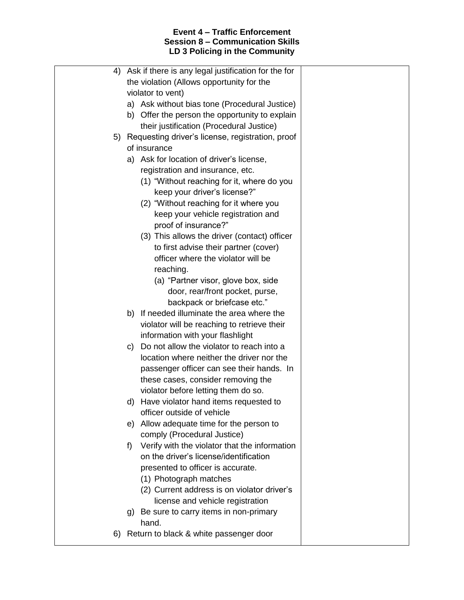| 4) | Ask if there is any legal justification for the for |  |
|----|-----------------------------------------------------|--|
|    | the violation (Allows opportunity for the           |  |
|    | violator to vent)                                   |  |
|    | a) Ask without bias tone (Procedural Justice)       |  |
|    | b) Offer the person the opportunity to explain      |  |
|    | their justification (Procedural Justice)            |  |
| 5) | Requesting driver's license, registration, proof    |  |
|    | of insurance                                        |  |
|    | a) Ask for location of driver's license,            |  |
|    | registration and insurance, etc.                    |  |
|    | (1) "Without reaching for it, where do you          |  |
|    | keep your driver's license?"                        |  |
|    | (2) "Without reaching for it where you              |  |
|    | keep your vehicle registration and                  |  |
|    | proof of insurance?"                                |  |
|    | (3) This allows the driver (contact) officer        |  |
|    | to first advise their partner (cover)               |  |
|    | officer where the violator will be                  |  |
|    | reaching.                                           |  |
|    | (a) "Partner visor, glove box, side                 |  |
|    | door, rear/front pocket, purse,                     |  |
|    | backpack or briefcase etc."                         |  |
|    | b) If needed illuminate the area where the          |  |
|    | violator will be reaching to retrieve their         |  |
|    | information with your flashlight                    |  |
|    | Do not allow the violator to reach into a<br>C)     |  |
|    | location where neither the driver nor the           |  |
|    | passenger officer can see their hands. In           |  |
|    | these cases, consider removing the                  |  |
|    | violator before letting them do so.                 |  |
|    | d) Have violator hand items requested to            |  |
|    | officer outside of vehicle                          |  |
|    | e) Allow adequate time for the person to            |  |
|    | comply (Procedural Justice)                         |  |
|    | Verify with the violator that the information<br>f) |  |
|    | on the driver's license/identification              |  |
|    | presented to officer is accurate.                   |  |
|    | (1) Photograph matches                              |  |
|    | (2) Current address is on violator driver's         |  |
|    | license and vehicle registration                    |  |
|    | g) Be sure to carry items in non-primary            |  |
|    | hand.                                               |  |
| 6) | Return to black & white passenger door              |  |
|    |                                                     |  |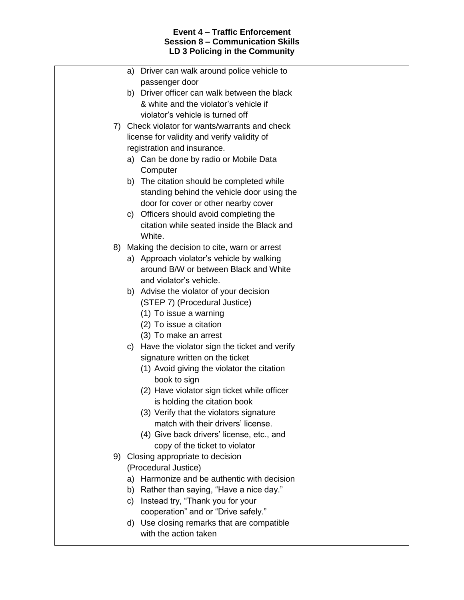| a) Driver can walk around police vehicle to     |                                                                                                                                                                                                                                                                                                                                                                                                                                                                                                                                                                                                                                                                                                                                                                                                                                                                                                                   |
|-------------------------------------------------|-------------------------------------------------------------------------------------------------------------------------------------------------------------------------------------------------------------------------------------------------------------------------------------------------------------------------------------------------------------------------------------------------------------------------------------------------------------------------------------------------------------------------------------------------------------------------------------------------------------------------------------------------------------------------------------------------------------------------------------------------------------------------------------------------------------------------------------------------------------------------------------------------------------------|
|                                                 |                                                                                                                                                                                                                                                                                                                                                                                                                                                                                                                                                                                                                                                                                                                                                                                                                                                                                                                   |
| & white and the violator's vehicle if           |                                                                                                                                                                                                                                                                                                                                                                                                                                                                                                                                                                                                                                                                                                                                                                                                                                                                                                                   |
| violator's vehicle is turned off                |                                                                                                                                                                                                                                                                                                                                                                                                                                                                                                                                                                                                                                                                                                                                                                                                                                                                                                                   |
|                                                 |                                                                                                                                                                                                                                                                                                                                                                                                                                                                                                                                                                                                                                                                                                                                                                                                                                                                                                                   |
| license for validity and verify validity of     |                                                                                                                                                                                                                                                                                                                                                                                                                                                                                                                                                                                                                                                                                                                                                                                                                                                                                                                   |
| registration and insurance.                     |                                                                                                                                                                                                                                                                                                                                                                                                                                                                                                                                                                                                                                                                                                                                                                                                                                                                                                                   |
| a) Can be done by radio or Mobile Data          |                                                                                                                                                                                                                                                                                                                                                                                                                                                                                                                                                                                                                                                                                                                                                                                                                                                                                                                   |
| Computer                                        |                                                                                                                                                                                                                                                                                                                                                                                                                                                                                                                                                                                                                                                                                                                                                                                                                                                                                                                   |
| b) The citation should be completed while       |                                                                                                                                                                                                                                                                                                                                                                                                                                                                                                                                                                                                                                                                                                                                                                                                                                                                                                                   |
|                                                 |                                                                                                                                                                                                                                                                                                                                                                                                                                                                                                                                                                                                                                                                                                                                                                                                                                                                                                                   |
|                                                 |                                                                                                                                                                                                                                                                                                                                                                                                                                                                                                                                                                                                                                                                                                                                                                                                                                                                                                                   |
|                                                 |                                                                                                                                                                                                                                                                                                                                                                                                                                                                                                                                                                                                                                                                                                                                                                                                                                                                                                                   |
|                                                 |                                                                                                                                                                                                                                                                                                                                                                                                                                                                                                                                                                                                                                                                                                                                                                                                                                                                                                                   |
|                                                 |                                                                                                                                                                                                                                                                                                                                                                                                                                                                                                                                                                                                                                                                                                                                                                                                                                                                                                                   |
|                                                 |                                                                                                                                                                                                                                                                                                                                                                                                                                                                                                                                                                                                                                                                                                                                                                                                                                                                                                                   |
|                                                 |                                                                                                                                                                                                                                                                                                                                                                                                                                                                                                                                                                                                                                                                                                                                                                                                                                                                                                                   |
| and violator's vehicle.                         |                                                                                                                                                                                                                                                                                                                                                                                                                                                                                                                                                                                                                                                                                                                                                                                                                                                                                                                   |
| b) Advise the violator of your decision         |                                                                                                                                                                                                                                                                                                                                                                                                                                                                                                                                                                                                                                                                                                                                                                                                                                                                                                                   |
| (STEP 7) (Procedural Justice)                   |                                                                                                                                                                                                                                                                                                                                                                                                                                                                                                                                                                                                                                                                                                                                                                                                                                                                                                                   |
| (1) To issue a warning                          |                                                                                                                                                                                                                                                                                                                                                                                                                                                                                                                                                                                                                                                                                                                                                                                                                                                                                                                   |
| (2) To issue a citation                         |                                                                                                                                                                                                                                                                                                                                                                                                                                                                                                                                                                                                                                                                                                                                                                                                                                                                                                                   |
| (3) To make an arrest                           |                                                                                                                                                                                                                                                                                                                                                                                                                                                                                                                                                                                                                                                                                                                                                                                                                                                                                                                   |
| c) Have the violator sign the ticket and verify |                                                                                                                                                                                                                                                                                                                                                                                                                                                                                                                                                                                                                                                                                                                                                                                                                                                                                                                   |
|                                                 |                                                                                                                                                                                                                                                                                                                                                                                                                                                                                                                                                                                                                                                                                                                                                                                                                                                                                                                   |
|                                                 |                                                                                                                                                                                                                                                                                                                                                                                                                                                                                                                                                                                                                                                                                                                                                                                                                                                                                                                   |
|                                                 |                                                                                                                                                                                                                                                                                                                                                                                                                                                                                                                                                                                                                                                                                                                                                                                                                                                                                                                   |
|                                                 |                                                                                                                                                                                                                                                                                                                                                                                                                                                                                                                                                                                                                                                                                                                                                                                                                                                                                                                   |
|                                                 |                                                                                                                                                                                                                                                                                                                                                                                                                                                                                                                                                                                                                                                                                                                                                                                                                                                                                                                   |
|                                                 |                                                                                                                                                                                                                                                                                                                                                                                                                                                                                                                                                                                                                                                                                                                                                                                                                                                                                                                   |
|                                                 |                                                                                                                                                                                                                                                                                                                                                                                                                                                                                                                                                                                                                                                                                                                                                                                                                                                                                                                   |
|                                                 |                                                                                                                                                                                                                                                                                                                                                                                                                                                                                                                                                                                                                                                                                                                                                                                                                                                                                                                   |
|                                                 |                                                                                                                                                                                                                                                                                                                                                                                                                                                                                                                                                                                                                                                                                                                                                                                                                                                                                                                   |
| (Procedural Justice)                            |                                                                                                                                                                                                                                                                                                                                                                                                                                                                                                                                                                                                                                                                                                                                                                                                                                                                                                                   |
| a) Harmonize and be authentic with decision     |                                                                                                                                                                                                                                                                                                                                                                                                                                                                                                                                                                                                                                                                                                                                                                                                                                                                                                                   |
| b) Rather than saying, "Have a nice day."       |                                                                                                                                                                                                                                                                                                                                                                                                                                                                                                                                                                                                                                                                                                                                                                                                                                                                                                                   |
| c) Instead try, "Thank you for your             |                                                                                                                                                                                                                                                                                                                                                                                                                                                                                                                                                                                                                                                                                                                                                                                                                                                                                                                   |
| cooperation" and or "Drive safely."             |                                                                                                                                                                                                                                                                                                                                                                                                                                                                                                                                                                                                                                                                                                                                                                                                                                                                                                                   |
|                                                 |                                                                                                                                                                                                                                                                                                                                                                                                                                                                                                                                                                                                                                                                                                                                                                                                                                                                                                                   |
|                                                 |                                                                                                                                                                                                                                                                                                                                                                                                                                                                                                                                                                                                                                                                                                                                                                                                                                                                                                                   |
|                                                 | passenger door<br>b) Driver officer can walk between the black<br>7) Check violator for wants/warrants and check<br>standing behind the vehicle door using the<br>door for cover or other nearby cover<br>c) Officers should avoid completing the<br>citation while seated inside the Black and<br>White.<br>Making the decision to cite, warn or arrest<br>8)<br>a) Approach violator's vehicle by walking<br>around B/W or between Black and White<br>signature written on the ticket<br>(1) Avoid giving the violator the citation<br>book to sign<br>(2) Have violator sign ticket while officer<br>is holding the citation book<br>(3) Verify that the violators signature<br>match with their drivers' license.<br>(4) Give back drivers' license, etc., and<br>copy of the ticket to violator<br>9) Closing appropriate to decision<br>d) Use closing remarks that are compatible<br>with the action taken |